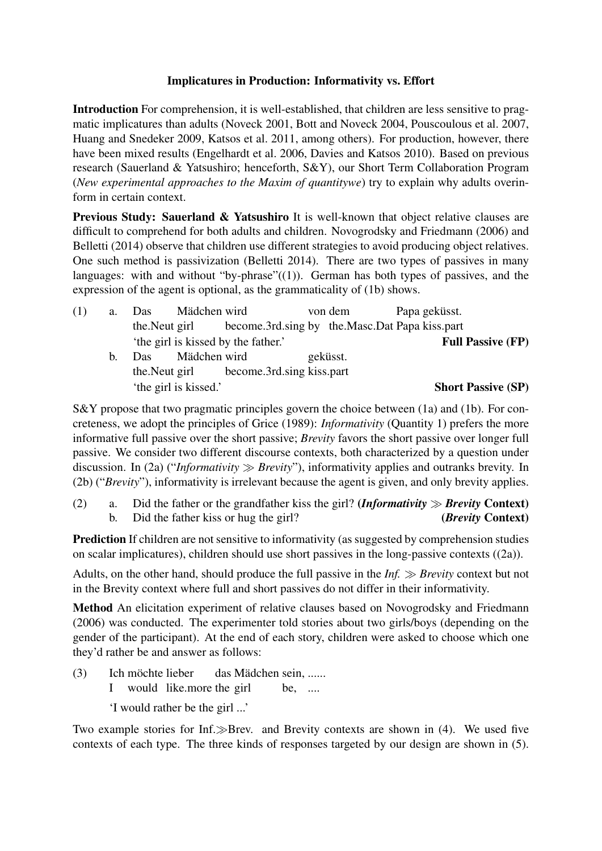## Implicatures in Production: Informativity vs. Effort

Introduction For comprehension, it is well-established, that children are less sensitive to pragmatic implicatures than adults (Noveck 2001, Bott and Noveck 2004, Pouscoulous et al. 2007, Huang and Snedeker 2009, Katsos et al. 2011, among others). For production, however, there have been mixed results (Engelhardt et al. 2006, Davies and Katsos 2010). Based on previous research (Sauerland & Yatsushiro; henceforth, S&Y), our Short Term Collaboration Program (*New experimental approaches to the Maxim of quantitywe*) try to explain why adults overinform in certain context.

Previous Study: Sauerland & Yatsushiro It is well-known that object relative clauses are difficult to comprehend for both adults and children. Novogrodsky and Friedmann (2006) and Belletti (2014) observe that children use different strategies to avoid producing object relatives. One such method is passivization (Belletti 2014). There are two types of passives in many languages: with and without "by-phrase" $((1))$ . German has both types of passives, and the expression of the agent is optional, as the grammaticality of (1b) shows.

| (1) | a. | Das           | Mädchen wird          |                                                | von dem  |  | Papa geküsst. |                           |
|-----|----|---------------|-----------------------|------------------------------------------------|----------|--|---------------|---------------------------|
|     |    | the Neut girl |                       | become.3rd.sing by the.Masc.Dat Papa kiss.part |          |  |               |                           |
|     |    |               |                       | 'the girl is kissed by the father.'            |          |  |               | <b>Full Passive (FP)</b>  |
|     | b. | Das.          | Mädchen wird          |                                                | geküsst. |  |               |                           |
|     |    |               |                       | the. Neut girl become. 3rd. sing kiss. part    |          |  |               |                           |
|     |    |               | 'the girl is kissed.' |                                                |          |  |               | <b>Short Passive (SP)</b> |

S&Y propose that two pragmatic principles govern the choice between (1a) and (1b). For concreteness, we adopt the principles of Grice (1989): *Informativity* (Quantity 1) prefers the more informative full passive over the short passive; *Brevity* favors the short passive over longer full passive. We consider two different discourse contexts, both characterized by a question under discussion. In (2a) ("*Informativity*  $\gg$  *Brevity*"), informativity applies and outranks brevity. In (2b) ("*Brevity*"), informativity is irrelevant because the agent is given, and only brevity applies.

(2) a. Did the father or the grandfather kiss the girl? (*Informativity*  $\gg$  *Brevity* Context) b. Did the father kiss or hug the girl? (*Brevity* Context)

Prediction If children are not sensitive to informativity (as suggested by comprehension studies on scalar implicatures), children should use short passives in the long-passive contexts ((2a)).

Adults, on the other hand, should produce the full passive in the *Inf. Brevity* context but not in the Brevity context where full and short passives do not differ in their informativity.

Method An elicitation experiment of relative clauses based on Novogrodsky and Friedmann (2006) was conducted. The experimenter told stories about two girls/boys (depending on the gender of the participant). At the end of each story, children were asked to choose which one they'd rather be and answer as follows:

 $(3)$ I möchte lieber would like.more the girl das Mädchen sein, ...... be, ....

'I would rather be the girl ...'

Two example stories for Inf. $\gg$ Brev. and Brevity contexts are shown in (4). We used five contexts of each type. The three kinds of responses targeted by our design are shown in (5).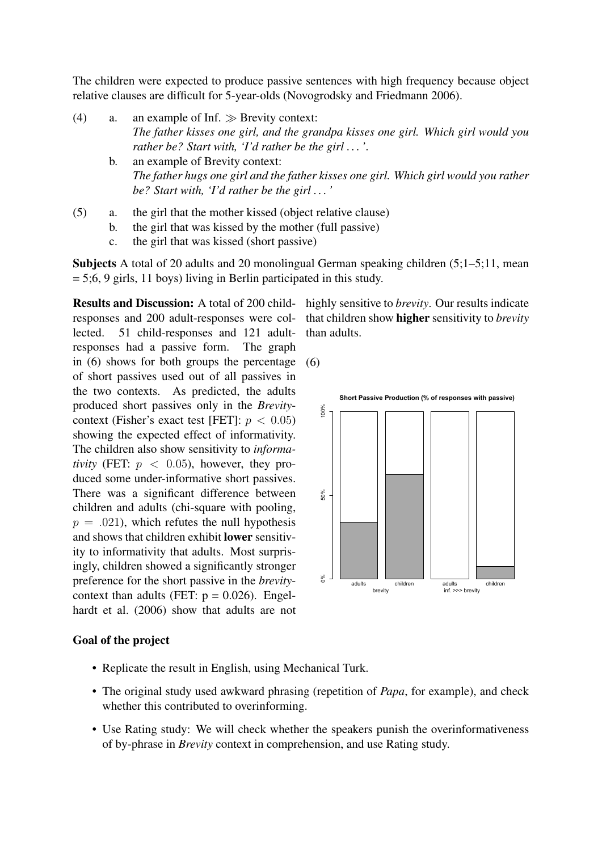The children were expected to produce passive sentences with high frequency because object relative clauses are difficult for 5-year-olds (Novogrodsky and Friedmann 2006).

- (4) a. an example of Inf.  $\gg$  Brevity context: *The father kisses one girl, and the grandpa kisses one girl. Which girl would you rather be? Start with, 'I'd rather be the girl . . . '*.
	- b. an example of Brevity context: *The father hugs one girl and the father kisses one girl. Which girl would you rather be? Start with, 'I'd rather be the girl . . . '*
- (5) a. the girl that the mother kissed (object relative clause)
	- b. the girl that was kissed by the mother (full passive)
		- c. the girl that was kissed (short passive)

Subjects A total of 20 adults and 20 monolingual German speaking children (5;1–5;11, mean  $= 5;6, 9$  girls, 11 boys) living in Berlin participated in this study.

responses and 200 adult-responses were collected. 51 child-responses and 121 adultresponses had a passive form. The graph in (6) shows for both groups the percentage (6) of short passives used out of all passives in the two contexts. As predicted, the adults produced short passives only in the *Brevity*context (Fisher's exact test [FET]:  $p < 0.05$ ) showing the expected effect of informativity. The children also show sensitivity to *informativity* (FET:  $p < 0.05$ ), however, they produced some under-informative short passives. There was a significant difference between children and adults (chi-square with pooling,  $p = .021$ , which refutes the null hypothesis and shows that children exhibit lower sensitivity to informativity that adults. Most surprisingly, children showed a significantly stronger preference for the short passive in the *brevity*context than adults (FET:  $p = 0.026$ ). Engelhardt et al. (2006) show that adults are not

## Goal of the project

- Replicate the result in English, using Mechanical Turk.
- The original study used awkward phrasing (repetition of *Papa*, for example), and check whether this contributed to overinforming.
- Use Rating study: We will check whether the speakers punish the overinformativeness of by-phrase in *Brevity* context in comprehension, and use Rating study.

Results and Discussion: A total of 200 child-highly sensitive to *brevity*. Our results indicate that children show higher sensitivity to *brevity* than adults.

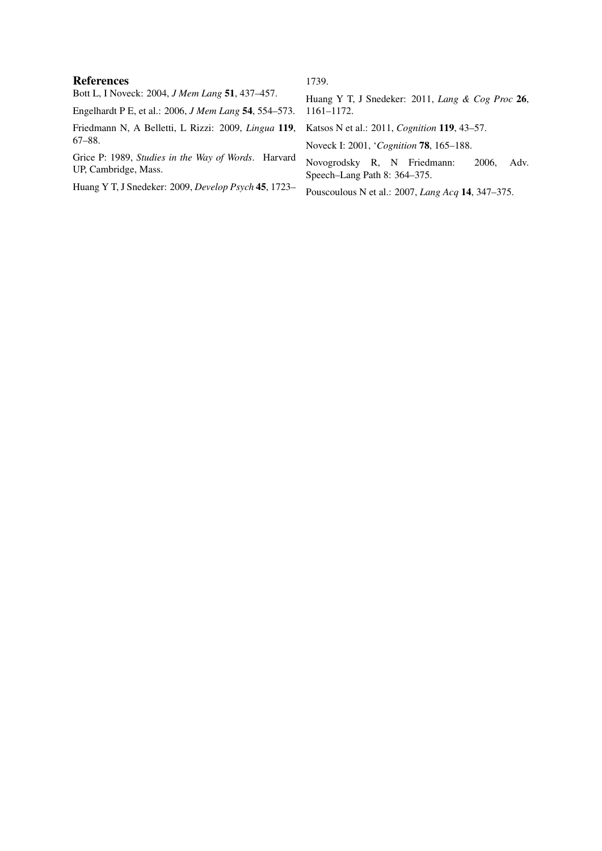## References

1739.

Bott L, I Noveck: 2004, *J Mem Lang* 51, 437–457. Engelhardt P E, et al.: 2006, *J Mem Lang* 54, 554–573. Friedmann N, A Belletti, L Rizzi: 2009, *Lingua* 119, 67–88. Grice P: 1989, *Studies in the Way of Words*. Harvard UP, Cambridge, Mass. Huang Y T, J Snedeker: 2009, *Develop Psych* 45, 1723– Huang Y T, J Snedeker: 2011, *Lang & Cog Proc* 26, 1161–1172. Katsos N et al.: 2011, *Cognition* 119, 43–57. Noveck I: 2001, '*Cognition* 78, 165–188. Novogrodsky R, N Friedmann: 2006, Adv. Speech–Lang Path 8: 364–375. Pouscoulous N et al.: 2007, *Lang Acq* 14, 347–375.